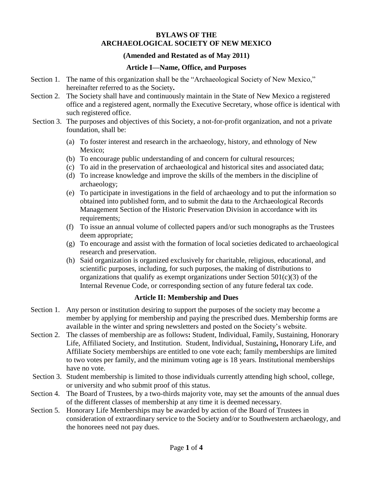#### **BYLAWS OF THE ARCHAEOLOGICAL SOCIETY OF NEW MEXICO**

#### **(Amended and Restated as of May 2011)**

#### **Article I—Name, Office, and Purposes**

- Section 1. The name of this organization shall be the "Archaeological Society of New Mexico," hereinafter referred to as the Society**.**
- Section 2. The Society shall have and continuously maintain in the State of New Mexico a registered office and a registered agent, normally the Executive Secretary, whose office is identical with such registered office.
- Section 3. The purposes and objectives of this Society, a not-for-profit organization, and not a private foundation, shall be:
	- (a) To foster interest and research in the archaeology, history, and ethnology of New Mexico;
	- (b) To encourage public understanding of and concern for cultural resources;
	- (c) To aid in the preservation of archaeological and historical sites and associated data;
	- (d) To increase knowledge and improve the skills of the members in the discipline of archaeology;
	- (e) To participate in investigations in the field of archaeology and to put the information so obtained into published form, and to submit the data to the Archaeological Records Management Section of the Historic Preservation Division in accordance with its requirements;
	- (f) To issue an annual volume of collected papers and/or such monographs as the Trustees deem appropriate;
	- (g) To encourage and assist with the formation of local societies dedicated to archaeological research and preservation.
	- (h) Said organization is organized exclusively for charitable, religious, educational, and scientific purposes, including, for such purposes, the making of distributions to organizations that qualify as exempt organizations under Section  $501(c)(3)$  of the Internal Revenue Code, or corresponding section of any future federal tax code.

# **Article II: Membership and Dues**

- Section 1. Any person or institution desiring to support the purposes of the society may become a member by applying for membership and paying the prescribed dues. Membership forms are available in the winter and spring newsletters and posted on the Society's website.
- Section 2. The classes of membership are as follows**:** Student, Individual, Family, Sustaining, Honorary Life, Affiliated Society, and Institution. Student, Individual, Sustaining**,** Honorary Life, and Affiliate Society memberships are entitled to one vote each; family memberships are limited to two votes per family, and the minimum voting age is 18 years. Institutional memberships have no vote.
- Section 3. Student membership is limited to those individuals currently attending high school, college, or university and who submit proof of this status.
- Section 4. The Board of Trustees, by a two-thirds majority vote, may set the amounts of the annual dues of the different classes of membership at any time it is deemed necessary.
- Section 5. Honorary Life Memberships may be awarded by action of the Board of Trustees in consideration of extraordinary service to the Society and/or to Southwestern archaeology, and the honorees need not pay dues.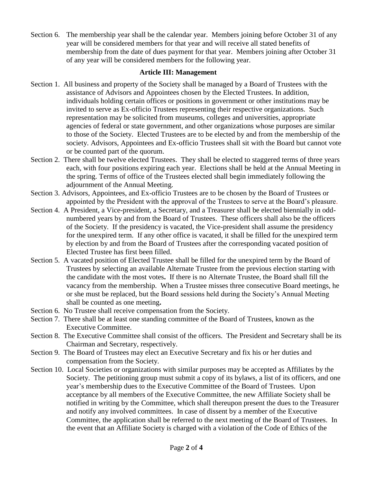Section 6. The membership year shall be the calendar year. Members joining before October 31 of any year will be considered members for that year and will receive all stated benefits of membership from the date of dues payment for that year. Members joining after October 31 of any year will be considered members for the following year.

#### **Article III: Management**

- Section 1. All business and property of the Society shall be managed by a Board of Trustees with the assistance of Advisors and Appointees chosen by the Elected Trustees. In addition, individuals holding certain offices or positions in government or other institutions may be invited to serve as Ex-officio Trustees representing their respective organizations. Such representation may be solicited from museums, colleges and universities, appropriate agencies of federal or state government, and other organizations whose purposes are similar to those of the Society. Elected Trustees are to be elected by and from the membership of the society. Advisors, Appointees and Ex-officio Trustees shall sit with the Board but cannot vote or be counted part of the quorum.
- Section 2. There shall be twelve elected Trustees. They shall be elected to staggered terms of three years each, with four positions expiring each year. Elections shall be held at the Annual Meeting in the spring. Terms of office of the Trustees elected shall begin immediately following the adjournment of the Annual Meeting.
- Section 3. Advisors, Appointees, and Ex-officio Trustees are to be chosen by the Board of Trustees or appointed by the President with the approval of the Trustees to serve at the Board's pleasure.
- Section 4. A President, a Vice-president, a Secretary, and a Treasurer shall be elected biennially in oddnumbered years by and from the Board of Trustees. These officers shall also be the officers of the Society. If the presidency is vacated, the Vice-president shall assume the presidency for the unexpired term. If any other office is vacated, it shall be filled for the unexpired term by election by and from the Board of Trustees after the corresponding vacated position of Elected Trustee has first been filled.
- Section 5. A vacated position of Elected Trustee shall be filled for the unexpired term by the Board of Trustees by selecting an available Alternate Trustee from the previous election starting with the candidate with the most votes**.** If there is no Alternate Trustee, the Board shall fill the vacancy from the membership.When a Trustee misses three consecutive Board meetings, he or she must be replaced, but the Board sessions held during the Society's Annual Meeting shall be counted as one meeting**.**
- Section 6. No Trustee shall receive compensation from the Society.
- Section 7. There shall be at least one standing committee of the Board of Trustees, known as the Executive Committee.
- Section 8. The Executive Committee shall consist of the officers. The President and Secretary shall be its Chairman and Secretary, respectively.
- Section 9. The Board of Trustees may elect an Executive Secretary and fix his or her duties and compensation from the Society.
- Section 10. Local Societies or organizations with similar purposes may be accepted as Affiliates by the Society. The petitioning group must submit a copy of its bylaws, a list of its officers, and one year's membership dues to the Executive Committee of the Board of Trustees. Upon acceptance by all members of the Executive Committee, the new Affiliate Society shall be notified in writing by the Committee, which shall thereupon present the dues to the Treasurer and notify any involved committees. In case of dissent by a member of the Executive Committee, the application shall be referred to the next meeting of the Board of Trustees. In the event that an Affiliate Society is charged with a violation of the Code of Ethics of the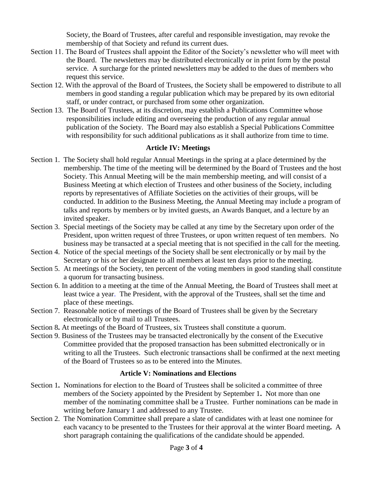Society, the Board of Trustees, after careful and responsible investigation, may revoke the membership of that Society and refund its current dues.

- Section 11. The Board of Trustees shall appoint the Editor of the Society's newsletter who will meet with the Board. The newsletters may be distributed electronically or in print form by the postal service. A surcharge for the printed newsletters may be added to the dues of members who request this service.
- Section 12. With the approval of the Board of Trustees, the Society shall be empowered to distribute to all members in good standing a regular publication which may be prepared by its own editorial staff, or under contract, or purchased from some other organization.
- Section 13. The Board of Trustees, at its discretion, may establish a Publications Committee whose responsibilities include editing and overseeing the production of any regular annual publication of the Society. The Board may also establish a Special Publications Committee with responsibility for such additional publications as it shall authorize from time to time.

## **Article IV: Meetings**

- Section 1. The Society shall hold regular Annual Meetings in the spring at a place determined by the membership. The time of the meeting will be determined by the Board of Trustees and the host Society. This Annual Meeting will be the main membership meeting, and will consist of a Business Meeting at which election of Trustees and other business of the Society, including reports by representatives of Affiliate Societies on the activities of their groups, will be conducted. In addition to the Business Meeting, the Annual Meeting may include a program of talks and reports by members or by invited guests, an Awards Banquet, and a lecture by an invited speaker.
- Section 3. Special meetings of the Society may be called at any time by the Secretary upon order of the President, upon written request of three Trustees, or upon written request of ten members. No business may be transacted at a special meeting that is not specified in the call for the meeting.
- Section 4. Notice of the special meetings of the Society shall be sent electronically or by mail by the Secretary or his or her designate to all members at least ten days prior to the meeting.
- Section 5. At meetings of the Society, ten percent of the voting members in good standing shall constitute a quorum for transacting business.
- Section 6. In addition to a meeting at the time of the Annual Meeting, the Board of Trustees shall meet at least twice a year. The President, with the approval of the Trustees, shall set the time and place of these meetings.
- Section 7. Reasonable notice of meetings of the Board of Trustees shall be given by the Secretary electronically or by mail to all Trustees.
- Section 8**.** At meetings of the Board of Trustees, six Trustees shall constitute a quorum.
- Section 9. Business of the Trustees may be transacted electronically by the consent of the Executive Committee provided that the proposed transaction has been submitted electronically or in writing to all the Trustees. Such electronic transactions shall be confirmed at the next meeting of the Board of Trustees so as to be entered into the Minutes.

# **Article V: Nominations and Elections**

- Section 1. Nominations for election to the Board of Trustees shall be solicited a committee of three members of the Society appointed by the President by September 1**.** Not more than one member of the nominating committee shall be a Trustee. Further nominations can be made in writing before January 1 and addressed to any Trustee.
- Section 2. The Nomination Committee shall prepare a slate of candidates with at least one nominee for each vacancy to be presented to the Trustees for their approval at the winter Board meeting**.** A short paragraph containing the qualifications of the candidate should be appended.